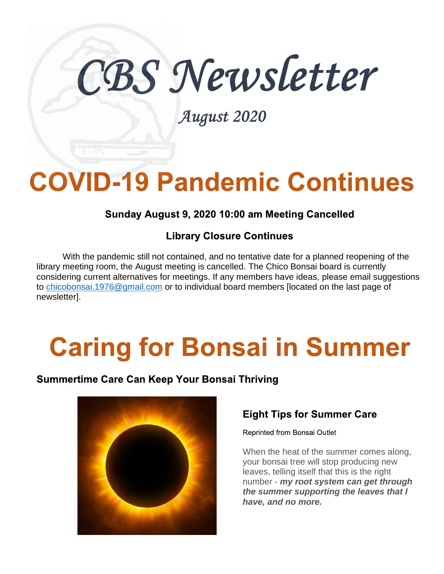# CBS Newsletter

August 2020

# **COVID-19 Pandemic Continues**

# Sunday August 9, 2020 10:00 am Meeting Cancelled

# **Library Closure Continues**

With the pandemic still not contained, and no tentative date for a planned reopening of the library meeting room, the August meeting is cancelled. The Chico Bonsai board is currently considering current alternatives for meetings. If any members have ideas, please email suggestions to chicobonsai.1976@gmail.com or to individual board members [located on the last page of newsletterl.

# **Caring for Bonsai in Summer**

### Summertime Care Can Keep Your Bonsai Thriving



# **Eight Tips for Summer Care**

Reprinted from Bonsai Outlet

When the heat of the summer comes along, your bonsai tree will stop producing new leaves, telling itself that this is the right number - my root system can get through the summer supporting the leaves that I have, and no more.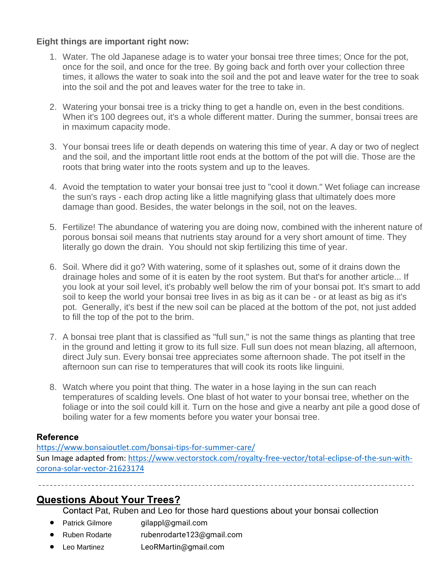#### **Eight things are important right now:**

- 1. Water. The old Japanese adage is to water your bonsai tree three times; Once for the pot, once for the soil, and once for the tree. By going back and forth over your collection three times, it allows the water to soak into the soil and the pot and leave water for the tree to soak into the soil and the pot and leaves water for the tree to take in.
- 2. Watering your bonsai tree is a tricky thing to get a handle on, even in the best conditions. When it's 100 degrees out, it's a whole different matter. During the summer, bonsai trees are in maximum capacity mode.
- 3. Your bonsai trees life or death depends on watering this time of year. A day or two of neglect and the soil, and the important little root ends at the bottom of the pot will die. Those are the roots that bring water into the roots system and up to the leaves.
- 4. Avoid the temptation to water your bonsai tree just to "cool it down." Wet foliage can increase the sun's rays - each drop acting like a little magnifying glass that ultimately does more damage than good. Besides, the water belongs in the soil, not on the leaves.
- 5. Fertilize! The abundance of watering you are doing now, combined with the inherent nature of porous bonsai soil means that nutrients stay around for a very short amount of time. They literally go down the drain. You should not skip fertilizing this time of year.
- 6. Soil. Where did it go? With watering, some of it splashes out, some of it drains down the drainage holes and some of it is eaten by the root system. But that's for another article... If you look at your soil level, it's probably well below the rim of your bonsai pot. It's smart to add soil to keep the world your bonsai tree lives in as big as it can be - or at least as big as it's pot. Generally, it's best if the new soil can be placed at the bottom of the pot, not just added to fill the top of the pot to the brim.
- 7. A bonsai tree plant that is classified as "full sun," is not the same things as planting that tree in the ground and letting it grow to its full size. Full sun does not mean blazing, all afternoon, direct July sun. Every bonsai tree appreciates some afternoon shade. The pot itself in the afternoon sun can rise to temperatures that will cook its roots like linguini.
- 8. Watch where you point that thing. The water in a hose laying in the sun can reach temperatures of scalding levels. One blast of hot water to your bonsai tree, whether on the foliage or into the soil could kill it. Turn on the hose and give a nearby ant pile a good dose of boiling water for a few moments before you water your bonsai tree.

#### **Reference**

<https://www.bonsaioutlet.com/bonsai-tips-for-summer-care/> Sun Image adapted from: [https://www.vectorstock.com/royalty-free-vector/total-eclipse-of-the-sun-with](https://www.vectorstock.com/royalty-free-vector/total-eclipse-of-the-sun-with-corona-solar-vector-21623174)[corona-solar-vector-21623174](https://www.vectorstock.com/royalty-free-vector/total-eclipse-of-the-sun-with-corona-solar-vector-21623174)

# **Questions About Your Trees?**

Contact Pat, Ruben and Leo for those hard questions about your bonsai collection

- Patrick Gilmore gilappl@gmail.com
- Ruben Rodarte rubenrodarte123@gmail.com
- Leo Martinez LeoRMartin@gmail.com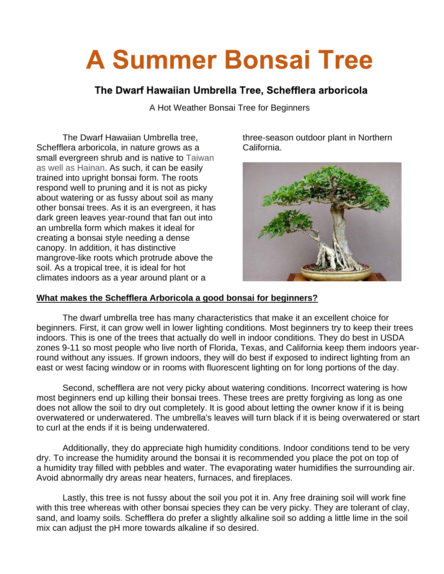# **A Summer Bonsai Tree**

#### The Dwarf Hawaiian Umbrella Tree, Schefflera arboricola

A Hot Weather Bonsai Tree for Beginners

The Dwarf Hawaiian Umbrella tree, Schefflera arboricola, in nature grows as a small evergreen shrub and is native to Taiwan as well as Hainan. As such, it can be easily trained into upright bonsai form. The roots respond well to pruning and it is not as picky about watering or as fussy about soil as many other bonsai trees. As it is an evergreen, it has dark green leaves year-round that fan out into an umbrella form which makes it ideal for creating a bonsai style needing a dense canopy. In addition, it has distinctive mangrove-like roots which protrude above the soil. As a tropical tree, it is ideal for hot climates indoors as a year around plant or a

three-season outdoor plant in Northern California.



#### **What makes the Schefflera Arboricola a good bonsai for beginners?**

The dwarf umbrella tree has many characteristics that make it an excellent choice for beginners. First, it can grow well in lower lighting conditions. Most beginners try to keep their trees indoors. This is one of the trees that actually do well in indoor conditions. They do best in USDA zones 9-11 so most people who live north of Florida, Texas, and California keep them indoors yearround without any issues. If grown indoors, they will do best if exposed to indirect lighting from an east or west facing window or in rooms with fluorescent lighting on for long portions of the day.

Second, schefflera are not very picky about watering conditions. Incorrect watering is how most beginners end up killing their bonsai trees. These trees are pretty forgiving as long as one does not allow the soil to dry out completely. It is good about letting the owner know if it is being overwatered or underwatered. The umbrella's leaves will turn black if it is being overwatered or start to curl at the ends if it is being underwatered.

Additionally, they do appreciate high humidity conditions. Indoor conditions tend to be very dry. To increase the humidity around the bonsai it is recommended you place the pot on top of a [humidity tray](http://www.mellobonsai.com/Products.aspx?type=humiditytray) filled with pebbles and water. The evaporating water humidifies the surrounding air. Avoid abnormally dry areas near heaters, furnaces, and fireplaces.

Lastly, this tree is not fussy about the soil you pot it in. Any free draining soil will work fine with this tree whereas with other bonsai species they can be very picky. They are tolerant of clay, sand, and loamy soils. Schefflera do prefer a slightly alkaline soil so adding a little lime in the soil mix can adjust the pH more towards alkaline if so desired.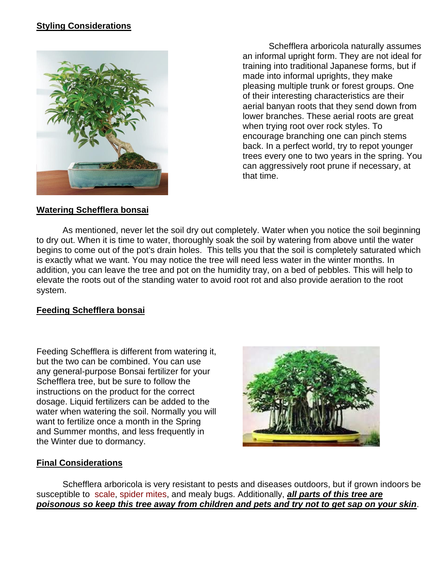#### **Styling Considerations**



Schefflera arboricola naturally assumes an informal upright form. They are not ideal for training into traditional Japanese forms, but if made into informal uprights, they make pleasing multiple trunk or forest groups. One of their interesting characteristics are their aerial banyan roots that they send down from lower branches. These aerial roots are great when trying root over rock styles. To encourage branching one can pinch stems back. In a perfect world, try to repot younger trees every one to two years in the spring. You can aggressively root prune if necessary, at that time.

#### **Watering Schefflera bonsai**

As mentioned, never let the soil dry out completely. Water when you notice the soil beginning to dry out. When it is time to water, thoroughly soak the soil by watering from above until the water begins to come out of the pot's drain holes. This tells you that the soil is completely saturated which is exactly what we want. You may notice the tree will need less water in the winter months. In addition, you can leave the tree and pot on the humidity tray, on a bed of pebbles. This will help to elevate the roots out of the standing water to avoid root rot and also provide aeration to the root system.

#### **Feeding Schefflera bonsai**

Feeding Schefflera is different from watering it, but the two can be combined. You can use any general-purpose Bonsai fertilizer for your Schefflera tree, but be sure to follow the instructions on the product for the correct dosage. Liquid fertilizers can be added to the water when watering the soil. Normally you will want to fertilize once a month in the Spring and Summer months, and less frequently in the Winter due to dormancy.



#### **Final Considerations**

Schefflera arboricola is very resistant to pests and diseases outdoors, but if grown indoors be susceptible to [scale,](http://www.mellobonsai.com/care/Bonsai-scale-insects.aspx) [spider mites,](http://www.mellobonsai.com/care/Bonsai_Care_SpiderMites.aspx) and mealy bugs. Additionally, *all parts of this tree are poisonous so keep this tree away from children and pets and try not to get sap on your skin*.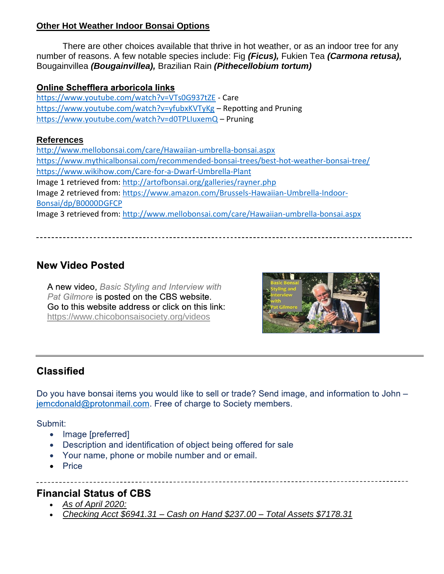#### **Other Hot Weather Indoor Bonsai Options**

There are other choices available that thrive in hot weather, or as an indoor tree for any number of reasons. A few notable species include: Fig *(Ficus),* Fukien Tea *(Carmona retusa),*  Bougainvillea *(Bougainvillea),* Brazilian Rain *(Pithecellobium tortum)*

#### Online Schefflera arboricola links

<https://www.youtube.com/watch?v=VTs0G937tZE> - Care <https://www.youtube.com/watch?v=yfubxKVTyKg> – Repotting and Pruning <https://www.youtube.com/watch?v=d0TPLIuxemQ> – Pruning

#### **References**

<http://www.mellobonsai.com/care/Hawaiian-umbrella-bonsai.aspx> <https://www.mythicalbonsai.com/recommended-bonsai-trees/best-hot-weather-bonsai-tree/> <https://www.wikihow.com/Care-for-a-Dwarf-Umbrella-Plant> Image 1 retrieved from:<http://artofbonsai.org/galleries/rayner.php> Image 2 retrieved from: [https://www.amazon.com/Brussels-Hawaiian-Umbrella-Indoor-](https://www.amazon.com/Brussels-Hawaiian-Umbrella-Indoor-Bonsai/dp/B0000DGFCP)[Bonsai/dp/B0000DGFCP](https://www.amazon.com/Brussels-Hawaiian-Umbrella-Indoor-Bonsai/dp/B0000DGFCP) Image 3 retrieved from:<http://www.mellobonsai.com/care/Hawaiian-umbrella-bonsai.aspx>

### **New Video Posted**

A new video, Basic Styling and Interview with Pat Gilmore is posted on the CBS website. Go to this website address or click on this link: <https://www.chicobonsaisociety.org/videos>



### **Classified**

Do you have bonsai items you would like to sell or trade? Send image, and information to John jemcdonald@protonmail.com. Free of charge to Society members.

Submit:

- Image [preferred]
- Description and identification of object being offered for sale
- Your name, phone or mobile number and or email.
- Price

#### **Financial Status of CBS**

- *As of April 2020:*
- *Checking Acct \$6941.31 – Cash on Hand \$237.00 – Total Assets \$7178.31*